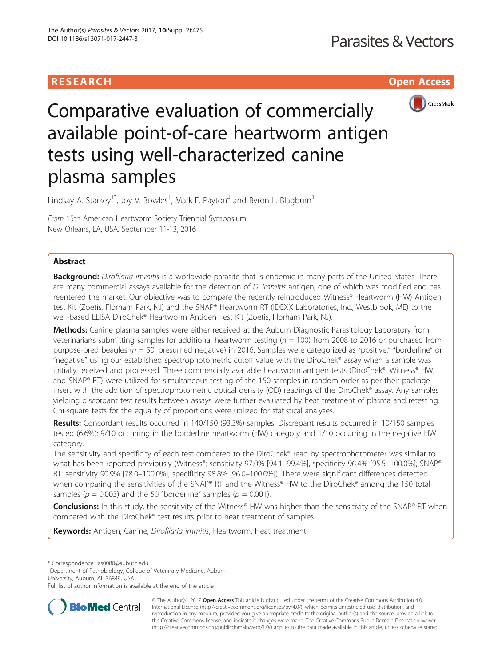# **RESEARCH CHILD CONTROL** CONTROL CONTROL CONTROL CONTROL CONTROL CONTROL CONTROL CONTROL CONTROL CONTROL CONTROL CONTROL CONTROL CONTROL CONTROL CONTROL CONTROL CONTROL CONTROL CONTROL CONTROL CONTROL CONTROL CONTROL CONTR



# Comparative evaluation of commercially available point-of-care heartworm antigen tests using well-characterized canine plasma samples

Lindsay A. Starkey<sup>1\*</sup>, Joy V. Bowles<sup>1</sup>, Mark E. Payton<sup>2</sup> and Byron L. Blagburn<sup>1</sup>

From 15th American Heartworm Society Triennial Symposium New Orleans, LA, USA. September 11-13, 2016

# Abstract

**Background:** Dirofilaria immitis is a worldwide parasite that is endemic in many parts of the United States. There are many commercial assays available for the detection of *D. immitis* antigen, one of which was modified and has reentered the market. Our objective was to compare the recently reintroduced Witness® Heartworm (HW) Antigen test Kit (Zoetis, Florham Park, NJ) and the SNAP® Heartworm RT (IDEXX Laboratories, Inc., Westbrook, ME) to the well-based ELISA DiroChek® Heartworm Antigen Test Kit (Zoetis, Florham Park, NJ).

Methods: Canine plasma samples were either received at the Auburn Diagnostic Parasitology Laboratory from veterinarians submitting samples for additional heartworm testing ( $n = 100$ ) from 2008 to 2016 or purchased from purpose-bred beagles ( $n = 50$ , presumed negative) in 2016. Samples were categorized as "positive," "borderline" or "negative" using our established spectrophotometric cutoff value with the DiroChek® assay when a sample was initially received and processed. Three commercially available heartworm antigen tests (DiroChek®, Witness® HW, and SNAP® RT) were utilized for simultaneous testing of the 150 samples in random order as per their package insert with the addition of spectrophotometric optical density (OD) readings of the DiroChek® assay. Any samples yielding discordant test results between assays were further evaluated by heat treatment of plasma and retesting. Chi-square tests for the equality of proportions were utilized for statistical analyses.

Results: Concordant results occurred in 140/150 (93.3%) samples. Discrepant results occurred in 10/150 samples tested (6.6%): 9/10 occurring in the borderline heartworm (HW) category and 1/10 occurring in the negative HW category.

The sensitivity and specificity of each test compared to the DiroChek® read by spectrophotometer was similar to what has been reported previously (Witness®: sensitivity 97.0% [94.1–99.4%], specificity 96.4% [95.5–100.0%]; SNAP® RT: sensitivity 90.9% [78.0–100.0%], specificity 98.8% [96.0–100.0%]). There were significant differences detected when comparing the sensitivities of the SNAP® RT and the Witness® HW to the DiroChek® among the 150 total samples ( $p = 0.003$ ) and the 50 "borderline" samples ( $p = 0.001$ ).

Conclusions: In this study, the sensitivity of the Witness® HW was higher than the sensitivity of the SNAP® RT when compared with the DiroChek® test results prior to heat treatment of samples.

Keywords: Antigen, Canine, Dirofilaria immitis, Heartworm, Heat treatment

\* Correspondence: [las0080@auburn.edu](mailto:las0080@auburn.edu) <sup>1</sup>

<sup>1</sup>Department of Pathobiology, College of Veterinary Medicine, Auburn University, Auburn, AL 36849, USA

Full list of author information is available at the end of the article



© The Author(s). 2017 **Open Access** This article is distributed under the terms of the Creative Commons Attribution 4.0 International License [\(http://creativecommons.org/licenses/by/4.0/](http://creativecommons.org/licenses/by/4.0/)), which permits unrestricted use, distribution, and reproduction in any medium, provided you give appropriate credit to the original author(s) and the source, provide a link to the Creative Commons license, and indicate if changes were made. The Creative Commons Public Domain Dedication waiver [\(http://creativecommons.org/publicdomain/zero/1.0/](http://creativecommons.org/publicdomain/zero/1.0/)) applies to the data made available in this article, unless otherwise stated.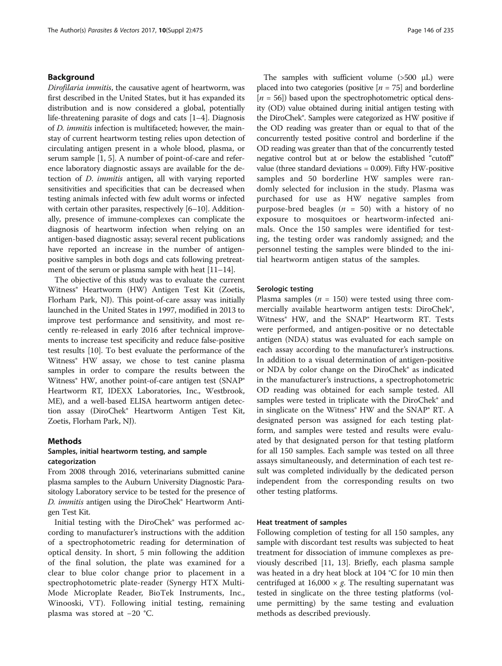# Background

Dirofilaria immitis, the causative agent of heartworm, was first described in the United States, but it has expanded its distribution and is now considered a global, potentially life-threatening parasite of dogs and cats [[1](#page-4-0)–[4](#page-4-0)]. Diagnosis of D. immitis infection is multifaceted; however, the mainstay of current heartworm testing relies upon detection of circulating antigen present in a whole blood, plasma, or serum sample [\[1](#page-4-0), [5](#page-4-0)]. A number of point-of-care and reference laboratory diagnostic assays are available for the detection of D. immitis antigen, all with varying reported sensitivities and specificities that can be decreased when testing animals infected with few adult worms or infected with certain other parasites, respectively [\[6](#page-4-0)–[10\]](#page-4-0). Additionally, presence of immune-complexes can complicate the diagnosis of heartworm infection when relying on an antigen-based diagnostic assay; several recent publications have reported an increase in the number of antigenpositive samples in both dogs and cats following pretreat-ment of the serum or plasma sample with heat [\[11](#page-4-0)–[14](#page-4-0)].

The objective of this study was to evaluate the current Witness® Heartworm (HW) Antigen Test Kit (Zoetis, Florham Park, NJ). This point-of-care assay was initially launched in the United States in 1997, modified in 2013 to improve test performance and sensitivity, and most recently re-released in early 2016 after technical improvements to increase test specificity and reduce false-positive test results [\[10\]](#page-4-0). To best evaluate the performance of the Witness<sup>®</sup> HW assay, we chose to test canine plasma samples in order to compare the results between the Witness<sup>®</sup> HW, another point-of-care antigen test (SNAP<sup>®</sup> Heartworm RT, IDEXX Laboratories, Inc., Westbrook, ME), and a well-based ELISA heartworm antigen detection assay (DiroChek® Heartworm Antigen Test Kit, Zoetis, Florham Park, NJ).

### Methods

# Samples, initial heartworm testing, and sample categorization

From 2008 through 2016, veterinarians submitted canine plasma samples to the Auburn University Diagnostic Parasitology Laboratory service to be tested for the presence of D. immitis antigen using the DiroChek® Heartworm Antigen Test Kit.

Initial testing with the DiroChek® was performed according to manufacturer's instructions with the addition of a spectrophotometric reading for determination of optical density. In short, 5 min following the addition of the final solution, the plate was examined for a clear to blue color change prior to placement in a spectrophotometric plate-reader (Synergy HTX Multi-Mode Microplate Reader, BioTek Instruments, Inc., Winooski, VT). Following initial testing, remaining plasma was stored at −20 °C.

The samples with sufficient volume (>500 μL) were placed into two categories (positive  $[n = 75]$  and borderline  $[n = 56]$ ) based upon the spectrophotometric optical density (OD) value obtained during initial antigen testing with the DiroChek®. Samples were categorized as HW positive if the OD reading was greater than or equal to that of the concurrently tested positive control and borderline if the OD reading was greater than that of the concurrently tested negative control but at or below the established "cutoff" value (three standard deviations = 0.009). Fifty HW-positive samples and 50 borderline HW samples were randomly selected for inclusion in the study. Plasma was purchased for use as HW negative samples from purpose-bred beagles ( $n = 50$ ) with a history of no exposure to mosquitoes or heartworm-infected animals. Once the 150 samples were identified for testing, the testing order was randomly assigned; and the personnel testing the samples were blinded to the initial heartworm antigen status of the samples.

#### Serologic testing

Plasma samples ( $n = 150$ ) were tested using three commercially available heartworm antigen tests: DiroChek®, Witness® HW, and the SNAP® Heartworm RT. Tests were performed, and antigen-positive or no detectable antigen (NDA) status was evaluated for each sample on each assay according to the manufacturer's instructions. In addition to a visual determination of antigen-positive or NDA by color change on the DiroChek® as indicated in the manufacturer's instructions, a spectrophotometric OD reading was obtained for each sample tested. All samples were tested in triplicate with the DiroChek® and in singlicate on the Witness® HW and the SNAP® RT. A designated person was assigned for each testing platform, and samples were tested and results were evaluated by that designated person for that testing platform for all 150 samples. Each sample was tested on all three assays simultaneously, and determination of each test result was completed individually by the dedicated person independent from the corresponding results on two other testing platforms.

#### Heat treatment of samples

Following completion of testing for all 150 samples, any sample with discordant test results was subjected to heat treatment for dissociation of immune complexes as previously described [\[11, 13\]](#page-4-0). Briefly, each plasma sample was heated in a dry heat block at 104 °C for 10 min then centrifuged at 16,000  $\times$  g. The resulting supernatant was tested in singlicate on the three testing platforms (volume permitting) by the same testing and evaluation methods as described previously.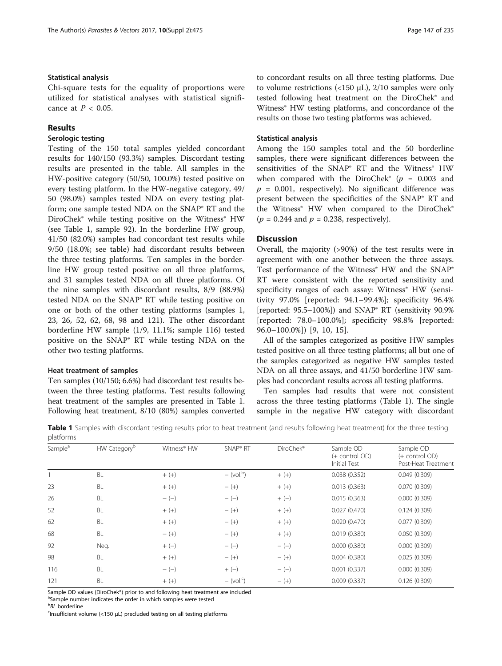# <span id="page-2-0"></span>Statistical analysis

Chi-square tests for the equality of proportions were utilized for statistical analyses with statistical significance at  $P < 0.05$ .

# Results

# Serologic testing

Testing of the 150 total samples yielded concordant results for 140/150 (93.3%) samples. Discordant testing results are presented in the table. All samples in the HW-positive category (50/50, 100.0%) tested positive on every testing platform. In the HW-negative category, 49/ 50 (98.0%) samples tested NDA on every testing platform; one sample tested NDA on the SNAP® RT and the DiroChek® while testing positive on the Witness® HW (see Table 1, sample 92). In the borderline HW group, 41/50 (82.0%) samples had concordant test results while 9/50 (18.0%; see table) had discordant results between the three testing platforms. Ten samples in the borderline HW group tested positive on all three platforms, and 31 samples tested NDA on all three platforms. Of the nine samples with discordant results, 8/9 (88.9%) tested NDA on the SNAP® RT while testing positive on one or both of the other testing platforms (samples 1, 23, 26, 52, 62, 68, 98 and 121). The other discordant borderline HW sample (1/9, 11.1%; sample 116) tested positive on the SNAP® RT while testing NDA on the other two testing platforms.

## Heat treatment of samples

Ten samples (10/150; 6.6%) had discordant test results between the three testing platforms. Test results following heat treatment of the samples are presented in Table 1. Following heat treatment, 8/10 (80%) samples converted to concordant results on all three testing platforms. Due to volume restrictions (<150 μL),  $2/10$  samples were only tested following heat treatment on the DiroChek® and Witness® HW testing platforms, and concordance of the results on those two testing platforms was achieved.

# Statistical analysis

Among the 150 samples total and the 50 borderline samples, there were significant differences between the sensitivities of the SNAP® RT and the Witness® HW when compared with the DiroChek® ( $p = 0.003$  and  $p = 0.001$ , respectively). No significant difference was present between the specificities of the SNAP® RT and the Witness<sup>®</sup> HW when compared to the DiroChek®  $(p = 0.244$  and  $p = 0.238$ , respectively).

# **Discussion**

Overall, the majority (>90%) of the test results were in agreement with one another between the three assays. Test performance of the Witness<sup>®</sup> HW and the SNAP<sup>®</sup> RT were consistent with the reported sensitivity and specificity ranges of each assay: Witness<sup>®</sup> HW (sensitivity 97.0% [reported: 94.1–99.4%]; specificity 96.4% [reported: 95.5–100%]) and SNAP® RT (sensitivity 90.9% [reported: 78.0–100.0%]; specificity 98.8% [reported: 96.0–100.0%]) [[9, 10](#page-4-0), [15](#page-4-0)].

All of the samples categorized as positive HW samples tested positive on all three testing platforms; all but one of the samples categorized as negative HW samples tested NDA on all three assays, and 41/50 borderline HW samples had concordant results across all testing platforms.

Ten samples had results that were not consistent across the three testing platforms (Table 1). The single sample in the negative HW category with discordant

Table 1 Samples with discordant testing results prior to heat treatment (and results following heat treatment) for the three testing platforms

| piùtromine          |                          |             |                          |           |                                                    |                                                    |
|---------------------|--------------------------|-------------|--------------------------|-----------|----------------------------------------------------|----------------------------------------------------|
| Sample <sup>a</sup> | HW Category <sup>b</sup> | Witness® HW | SNAP <sup>®</sup> RT     | DiroChek® | Sample OD<br>(+ control OD)<br><b>Initial Test</b> | Sample OD<br>(+ control OD)<br>Post-Heat Treatment |
|                     | <b>BL</b>                | $+ (+)$     | $-(\text{vol.}^b)$       | $+ (+)$   | 0.038(0.352)                                       | 0.049(0.309)                                       |
| 23                  | <b>BL</b>                | $+ (+)$     | $- (+)$                  | $+ (+)$   | 0.013(0.363)                                       | 0.070(0.309)                                       |
| 26                  | BL                       | $-(-)$      | $-(-)$                   | $+(-)$    | 0.015(0.363)                                       | 0.000(0.309)                                       |
| 52                  | <b>BL</b>                | $+ (+)$     | $- (+)$                  | $+ (+)$   | 0.027(0.470)                                       | 0.124(0.309)                                       |
| 62                  | BL                       | $+ (+)$     | $- (+)$                  | $+ (+)$   | 0.020(0.470)                                       | 0.077(0.309)                                       |
| 68                  | BL                       | $- (+)$     | $- (+)$                  | $+ (+)$   | 0.019(0.380)                                       | 0.050(0.309)                                       |
| 92                  | Neg.                     | $+(-)$      | $-(-)$                   | $-(-)$    | 0.000(0.380)                                       | 0.000(0.309)                                       |
| 98                  | BL                       | $+ (+)$     | $- (+)$                  | $- (+)$   | 0.004(0.380)                                       | 0.025(0.309)                                       |
| 116                 | <b>BL</b>                | $-(-)$      | $+(-)$                   | $-(-)$    | 0.001(0.337)                                       | 0.000(0.309)                                       |
| 121                 | BL                       | $+ (+)$     | $-$ (vol. <sup>c</sup> ) | $- (+)$   | 0.009(0.337)                                       | 0.126(0.309)                                       |

Sample OD values (DiroChek®) prior to and following heat treatment are included

<sup>a</sup>Sample number indicates the order in which samples were tested

 $<$  Insufficient volume (<150 μL) precluded testing on all testing platforms

b<br><sup>b</sup>BL borderline<br><sup>c</sup>lnsufficient vs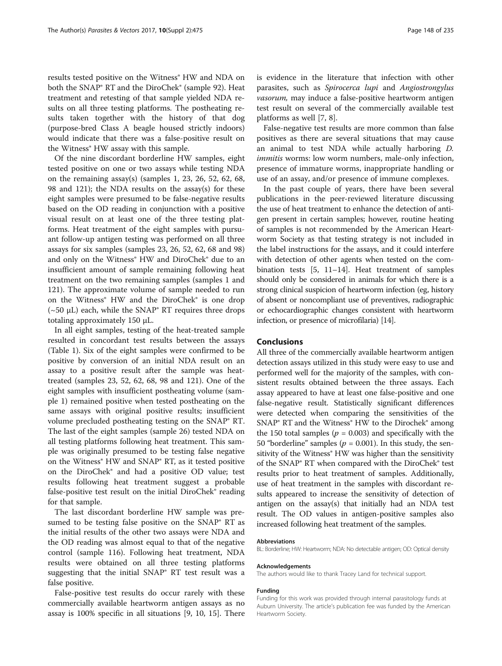results tested positive on the Witness® HW and NDA on both the SNAP® RT and the DiroChek® (sample 92). Heat treatment and retesting of that sample yielded NDA results on all three testing platforms. The postheating results taken together with the history of that dog (purpose-bred Class A beagle housed strictly indoors) would indicate that there was a false-positive result on the Witness® HW assay with this sample.

Of the nine discordant borderline HW samples, eight tested positive on one or two assays while testing NDA on the remaining assay(s) (samples 1, 23, 26, 52, 62, 68, 98 and 121); the NDA results on the assay(s) for these eight samples were presumed to be false-negative results based on the OD reading in conjunction with a positive visual result on at least one of the three testing platforms. Heat treatment of the eight samples with pursuant follow-up antigen testing was performed on all three assays for six samples (samples 23, 26, 52, 62, 68 and 98) and only on the Witness<sup>®</sup> HW and DiroChek<sup>®</sup> due to an insufficient amount of sample remaining following heat treatment on the two remaining samples (samples 1 and 121). The approximate volume of sample needed to run on the Witness<sup>®</sup> HW and the DiroChek<sup>®</sup> is one drop  $({\sim}50 \mu L)$  each, while the SNAP<sup>®</sup> RT requires three drops totaling approximately 150 μL.

In all eight samples, testing of the heat-treated sample resulted in concordant test results between the assays (Table [1](#page-2-0)). Six of the eight samples were confirmed to be positive by conversion of an initial NDA result on an assay to a positive result after the sample was heattreated (samples 23, 52, 62, 68, 98 and 121). One of the eight samples with insufficient postheating volume (sample 1) remained positive when tested postheating on the same assays with original positive results; insufficient volume precluded postheating testing on the SNAP® RT. The last of the eight samples (sample 26) tested NDA on all testing platforms following heat treatment. This sample was originally presumed to be testing false negative on the Witness® HW and SNAP® RT, as it tested positive on the DiroChek® and had a positive OD value; test results following heat treatment suggest a probable false-positive test result on the initial DiroChek® reading for that sample.

The last discordant borderline HW sample was presumed to be testing false positive on the SNAP® RT as the initial results of the other two assays were NDA and the OD reading was almost equal to that of the negative control (sample 116). Following heat treatment, NDA results were obtained on all three testing platforms suggesting that the initial SNAP® RT test result was a false positive.

False-positive test results do occur rarely with these commercially available heartworm antigen assays as no assay is 100% specific in all situations [\[9](#page-4-0), [10, 15](#page-4-0)]. There is evidence in the literature that infection with other parasites, such as Spirocerca lupi and Angiostrongylus vasorum, may induce a false-positive heartworm antigen test result on several of the commercially available test platforms as well [\[7](#page-4-0), [8](#page-4-0)].

False-negative test results are more common than false positives as there are several situations that may cause an animal to test NDA while actually harboring D. immitis worms: low worm numbers, male-only infection, presence of immature worms, inappropriate handling or use of an assay, and/or presence of immune complexes.

In the past couple of years, there have been several publications in the peer-reviewed literature discussing the use of heat treatment to enhance the detection of antigen present in certain samples; however, routine heating of samples is not recommended by the American Heartworm Society as that testing strategy is not included in the label instructions for the assays, and it could interfere with detection of other agents when tested on the combination tests [[5](#page-4-0), [11](#page-4-0)–[14\]](#page-4-0). Heat treatment of samples should only be considered in animals for which there is a strong clinical suspicion of heartworm infection (eg, history of absent or noncompliant use of preventives, radiographic or echocardiographic changes consistent with heartworm infection, or presence of microfilaria) [\[14](#page-4-0)].

## Conclusions

All three of the commercially available heartworm antigen detection assays utilized in this study were easy to use and performed well for the majority of the samples, with consistent results obtained between the three assays. Each assay appeared to have at least one false-positive and one false-negative result. Statistically significant differences were detected when comparing the sensitivities of the SNAP® RT and the Witness® HW to the Dirochek® among the 150 total samples ( $p = 0.003$ ) and specifically with the 50 "borderline" samples ( $p = 0.001$ ). In this study, the sensitivity of the Witness<sup>®</sup> HW was higher than the sensitivity of the SNAP® RT when compared with the DiroChek® test results prior to heat treatment of samples. Additionally, use of heat treatment in the samples with discordant results appeared to increase the sensitivity of detection of antigen on the assay(s) that initially had an NDA test result. The OD values in antigen-positive samples also increased following heat treatment of the samples.

#### Abbreviations

BL: Borderline; HW: Heartworm; NDA: No detectable antigen; OD: Optical density

#### Acknowledgements

The authors would like to thank Tracey Land for technical support.

#### Funding

Funding for this work was provided through internal parasitology funds at Auburn University. The article's publication fee was funded by the American Heartworm Society.